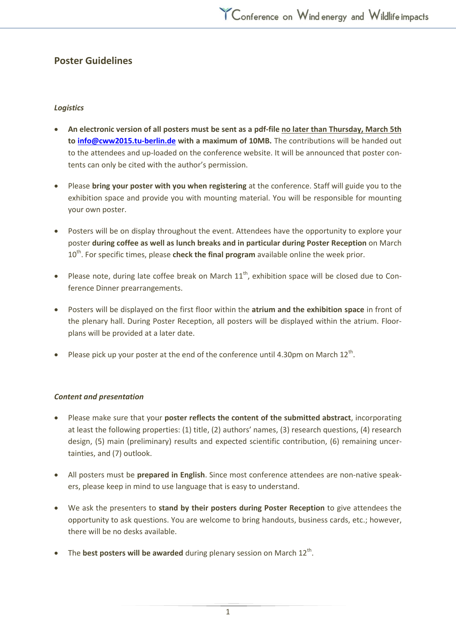# **Poster Guidelines**

# *Logistics*

- **An electronic version of all posters must be sent as a pdf-file no later than Thursday, March 5th to [info@cww2015.tu-berlin.de](mailto:info@cww2015.tu-berlin.de) with a maximum of 10MB.** The contributions will be handed out to the attendees and up-loaded on the conference website. It will be announced that poster contents can only be cited with the author's permission.
- Please **bring your poster with you when registering** at the conference. Staff will guide you to the exhibition space and provide you with mounting material. You will be responsible for mounting your own poster.
- Posters will be on display throughout the event. Attendees have the opportunity to explore your poster **during coffee as well as lunch breaks and in particular during Poster Reception** on March 10<sup>th</sup>. For specific times, please **check the final program** available online the week prior.
- Please note, during late coffee break on March  $11<sup>th</sup>$ , exhibition space will be closed due to Conference Dinner prearrangements.
- Posters will be displayed on the first floor within the **atrium and the exhibition space** in front of the plenary hall. During Poster Reception, all posters will be displayed within the atrium. Floorplans will be provided at a later date.
- Please pick up your poster at the end of the conference until 4.30pm on March  $12^{th}$ .

### *Content and presentation*

- Please make sure that your **poster reflects the content of the submitted abstract**, incorporating at least the following properties: (1) title, (2) authors' names, (3) research questions, (4) research design, (5) main (preliminary) results and expected scientific contribution, (6) remaining uncertainties, and (7) outlook.
- All posters must be **prepared in English**. Since most conference attendees are non-native speakers, please keep in mind to use language that is easy to understand.
- We ask the presenters to **stand by their posters during Poster Reception** to give attendees the opportunity to ask questions. You are welcome to bring handouts, business cards, etc.; however, there will be no desks available.
- The **best posters will be awarded** during plenary session on March 12<sup>th</sup>.